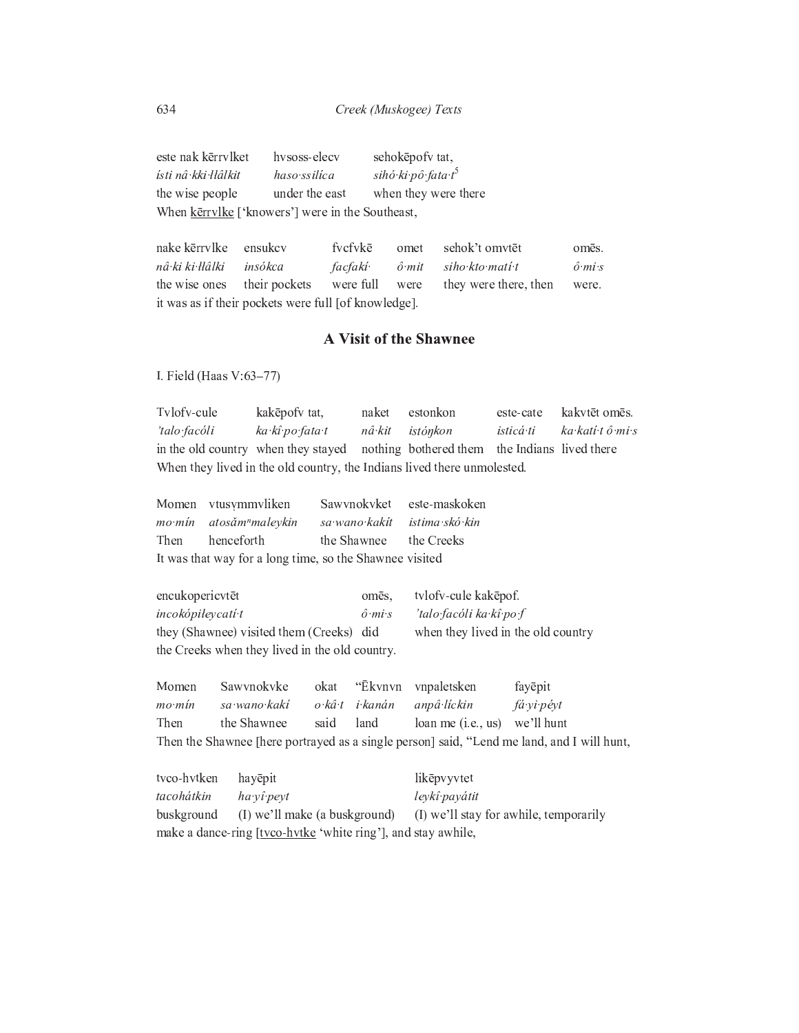este nak kērrvlket hvsoss-elecv sehokēpofv tat, haso ssilíca sihó ki pô fata t<sup>5</sup> ísti ná kki Hâlkit the wise people under the east when they were there When kerrylke ['knowers'] were in the Southeast,

nake kērrvlke ensukcv fvcfvkē omet sehok't omvtet omēs. nâ ki ki łłâlki insókca siho kto mati t  $\hat{o}$  mi s *facfakí*  $\hat{o}$  mit the wise ones their pockets were full they were there, then were were. it was as if their pockets were full [of knowledge].

## **A Visit of the Shawnee**

I. Field (Haas V:63-77)

Tylofy-cule kakēpofv tat, kakvtēt omēs. naket estonkon este-cate 'talo facóli ka kî po fata t nâ kit istónkon isticá ti ka katí tô mi s in the old country when they stayed nothing bothered them the Indians lived there When they lived in the old country, the Indians lived there unmolested.

|                                                         | Momen vtusymmvliken                 | Sawynokyket este-maskoken       |  |  |
|---------------------------------------------------------|-------------------------------------|---------------------------------|--|--|
|                                                         | mo mín atosám <sup>n</sup> malevkin | sa wano kakit ya istima sko kin |  |  |
|                                                         | Then henceforth                     | the Shawnee the Creeks          |  |  |
| It was that way for a long time, so the Shawnee visited |                                     |                                 |  |  |

encukopericvtēt tvlofv-cule kakepof. omēs, incokópiłeycatí t  $\hat{o}$  miss 'talo facóli ka kî po f when they lived in the old country they (Shawnee) visited them (Creeks) did the Creeks when they lived in the old country.

Sawynokyke "Ēkvnvn Momen okat vnpaletsken fayēpit sa wano kaki o kâ t i kanán mo mín anpâ líckin fá vi pévt Then the Shawnee said land loan me (i.e., us) we'll hunt Then the Shawnee [here portrayed as a single person] said, "Lend me land, and I will hunt,

tvco-hvtken hayēpit likēpvyvtet tacohátkin leykî payátit ha yî peyt buskground (I) we'll make (a buskground) (I) we'll stay for awhile, temporarily make a dance-ring [tvco-hvtke 'white ring'], and stay awhile,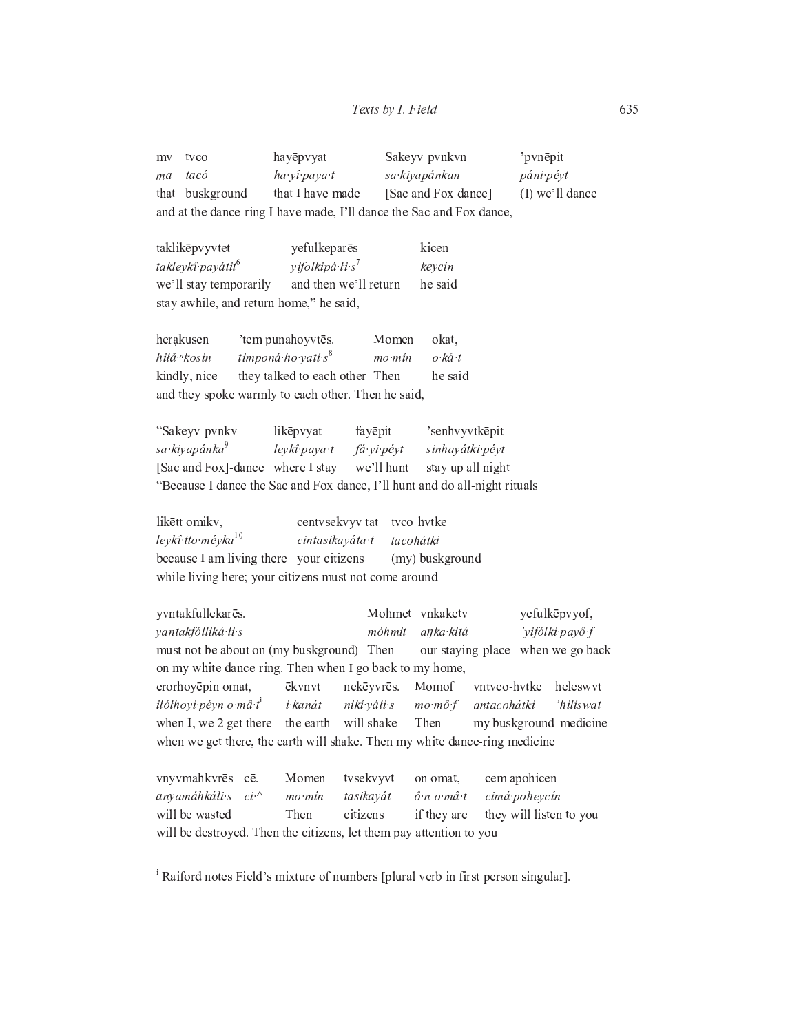| my | tvco            | hayēpvyat        | Sakeyy-pynkyn                                                        | pvnepit           |
|----|-----------------|------------------|----------------------------------------------------------------------|-------------------|
| ma | tacó            | ha vî pava t     | sa kiyapánkan                                                        | páni pévt         |
|    | that buskground | that I have made | [Sac and Fox dance]                                                  | $(I)$ we'll dance |
|    |                 |                  | and at the dance-ring I have made, I'll dance the Sac and Fox dance, |                   |

taklikēpvyvtet yefulkeparës kicen takleykî payátit<sup>6</sup> yifolkipá li s<sup>7</sup> keycín we'll stay temporarily and then we'll return he said stay awhile, and return home," he said,

| herakusen                                          | 'tem punahoyytēs.              | Momen  | okat.   |  |
|----------------------------------------------------|--------------------------------|--------|---------|--|
| hilă "kosin                                        | timponá ho yatí s <sup>8</sup> | mo·min | o kâ t  |  |
| kindly, nice                                       | they talked to each other Then |        | he said |  |
| and they spoke warmly to each other. Then he said, |                                |        |         |  |

| "Sakeyv-pvnkv                    | likēpvyat    | fayēpit    | 'senhvyvtkēpit                                                             |
|----------------------------------|--------------|------------|----------------------------------------------------------------------------|
| sa kiyapánka <sup>9</sup>        | leykî paya t | fá vi pévt | sinhayátki péyt                                                            |
| [Sac and Fox]-dance where I stay |              | we'll hunt | stay up all night                                                          |
|                                  |              |            | "Because I dance the Sac and Fox dance, I'll hunt and do all-night rituals |

likētt omikv, tvco-hvtke centvsekvyv tat leykî tto méyka<sup>10</sup> cintasikayáta t tacohátki because I am living there your citizens (my) buskground while living here; your citizens must not come around

yvntakfullekarēs. Mohmet vnkaketv yefulkēpvyof, yantakfólliká li s móhmit anka kitá 'yifólki payô f must not be about on (my buskground) Then our staying-place when we go back on my white dance-ring. Then when I go back to my home, heleswyt erorhoyēpin omat, ēkvnvt nekēyvrēs. Momof vntvco-hvtke iłółhovi pévn o mâ t<sup>i</sup> i kanát nikí váli s antacohátki 'hilíswat  $mo\text{ m}\hat{o}\text{ f}$ when I, we 2 get there the earth will shake Then my buskground-medicine when we get there, the earth will shake. Then my white dance-ring medicine vnyvmahkvrēs cē. tvsekvyvt on omat. cem apohicen Momen anyamáhkáli s  $ci^{\Lambda}$  $mo·min$ tasikavát  $\hat{o}$  n  $o$  m $\hat{a}$  t cimá poheycín

will be wasted citizens if they are they will listen to you Then will be destroyed. Then the citizens, let them pay attention to you

<sup>&</sup>lt;sup>i</sup> Raiford notes Field's mixture of numbers [plural verb in first person singular].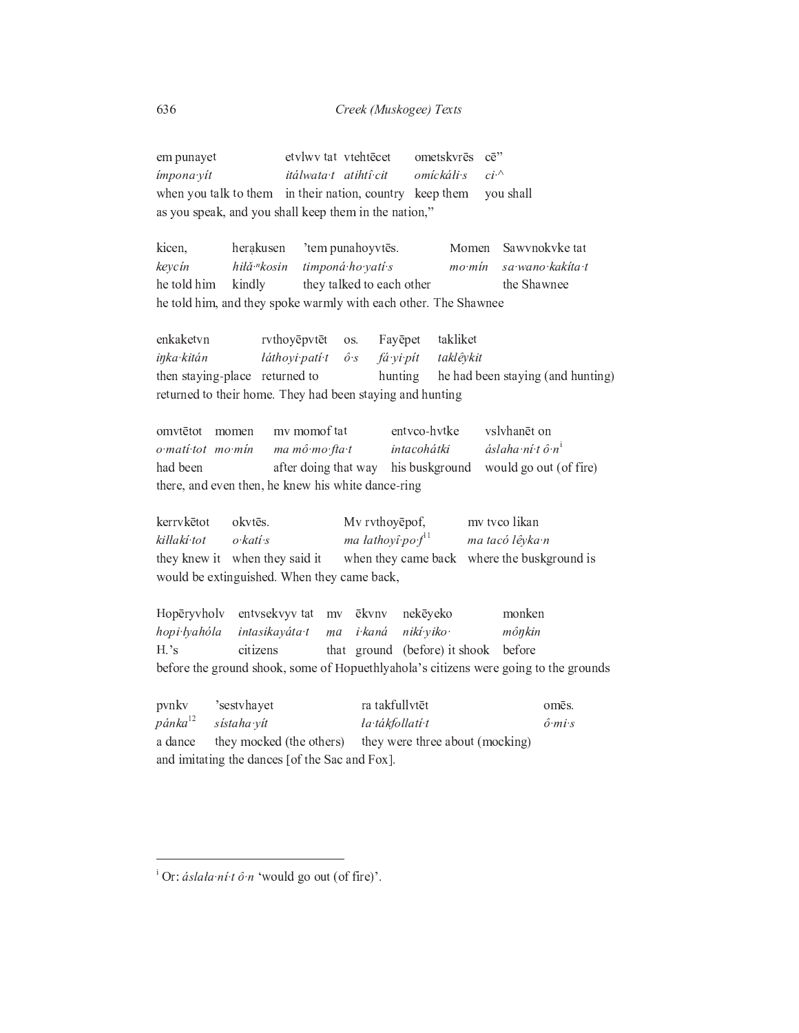Creek (Muskogee) Texts

etvlwv tat vtehtēcet ometskvrēs  $ce$ " em punayet  $ci^{\mathcal{N}}$ ímpona yít itálwata t atihtî cit omíckáli s when you talk to them in their nation, country keep them you shall as you speak, and you shall keep them in the nation,"

kicen. herakusen 'tem punahoyvtēs. Momen Sawynokyke tat keycín hiłǎ·<sup>n</sup>kosin timponá ho vatí s sa wano kakita t  $mo·min$ he told him kindly they talked to each other the Shawnee he told him, and they spoke warmly with each other. The Shawnee

enkaketvn rvthoyēpvtēt Fayēpet takliket os. inka kitán łáthovi patí t fá yi pít taklêykit  $\hat{o}$  s then staying-place returned to hunting he had been staying (and hunting) returned to their home. They had been staying and hunting

omvtētot momen mv momof tat entvco-hvtke vslvhanēt on intacohátki áslaha ní tô n $^{\rm i}$ o matí tot mo mín ma mô mo fta t his buskground would go out (of fire) had been after doing that way there, and even then, he knew his white dance-ring

okvtēs. kerrvkētot Mv rvthoyēpof, mv tvco likan ma łathovî po  $f<sup>11</sup>$ kiłłakí tot o katí s ma tacó lêyka n they knew it when they said it when they came back where the buskground is would be extinguished. When they came back,

Hopērvvholv entvsekvyv tat nekēveko monken mv ēkvnv hopi·łyahóla intasikayáta t nikí yiko mônkin i kaná ma  $H.'s$ citizens that ground (before) it shook before before the ground shook, some of Hopuethlyahola's citizens were going to the grounds

pvnkv 'sestyhayet ra takfullvtēt omēs.  $p\acute{a}nka^{12}$ sístaha vít ła tákfollatí t  $\hat{o}$  miss they were three about (mocking) a dance they mocked (the others) and imitating the dances [of the Sac and Fox].

<sup>&</sup>lt;sup>i</sup> Or: *áslała ní t ô n* 'would go out (of fire)'.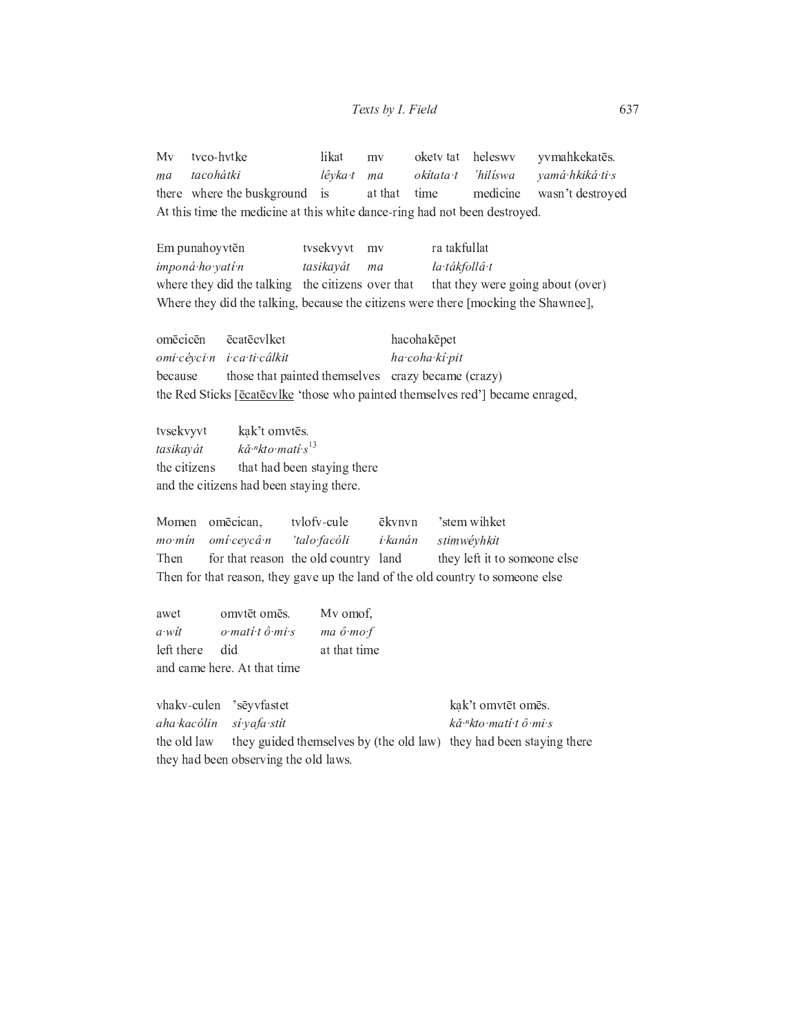tvco-hvtke likat heleswy  $Mv$ oketv tat yvmahkekatēs. my tacohátki ma lêvka t ma okítata t 'hilíswa vamá hkiká ti s there where the buskground medicine wasn't destroyed is at that time At this time the medicine at this white dance-ring had not been destroyed.

Em punahoyvtēn tvsekvyvt my ra takfullat imponá ho vatí n la tákfollâ t tasikayát ma where they did the talking the citizens over that that they were going about (over) Where they did the talking, because the citizens were there [mocking the Shawnee],

omēcicēn ēcatēcvlket hacohakepet omi cévci n i ca ti câlkit ha coha kî pit because those that painted themselves crazy became (crazy) the Red Sticks [ēcatecvlke 'those who painted themselves red'] became enraged,

tvsekvyvt kak't omvtēs. kă <sup>n</sup>kto matí s<sup>13</sup> tasikayát that had been staying there the citizens and the citizens had been staying there.

Momen omēcican, tvlofv-cule ēkvnvn 'stem wihket mo mín omí ceycâ n 'talo facóli i kanán stimwéyhkit for that reason the old country land they left it to someone else Then Then for that reason, they gave up the land of the old country to someone else

omvtēt omēs. My omof. awet o matí tô mi s  $ma\ \hat{o}\ \textit{mo}\ f$  $a$  wit left there did at that time and came here. At that time

vhakv-culen 'sēyvfastet kak't omvtēt omēs. aha kacólin sí vafa stít kă <sup>n</sup>kto matí tô mi s they guided themselves by (the old law) they had been staying there the old law they had been observing the old laws.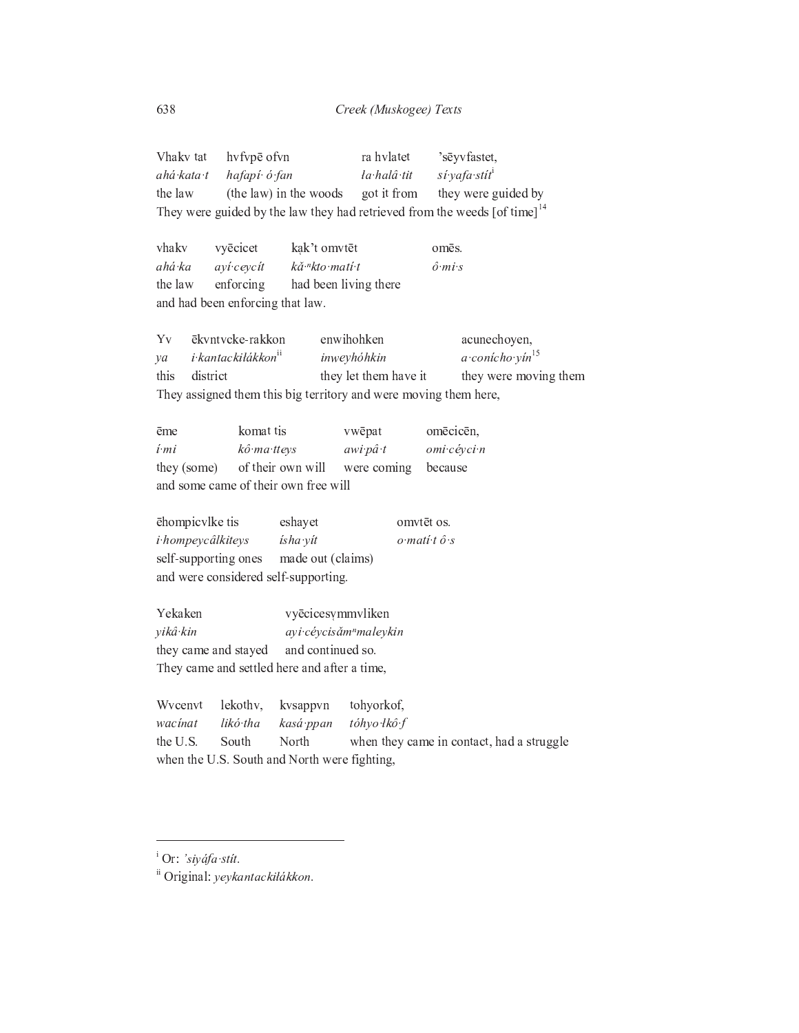| Vhakv tat                                                                               | hvfvpē ofvn            |              | ra hvlatet  | 'sēyvfastet.              |
|-----------------------------------------------------------------------------------------|------------------------|--------------|-------------|---------------------------|
| ahá kata t                                                                              | hafapí ó fan           |              | la halâ tit | si yafa stit <sup>i</sup> |
| the law                                                                                 | (the law) in the woods |              | got it from | they were guided by       |
| They were guided by the law they had retrieved from the weeds $[of time]$ <sup>14</sup> |                        |              |             |                           |
|                                                                                         |                        |              |             |                           |
| vhakv                                                                                   | vyēcicet               | kak't omvtēt |             | omēs.                     |

ahá ka  $\hat{o}$  mis ayí ceycít kă <sup>n</sup>kto matí t the law enforcing had been living there and had been enforcing that law.

ēkvntvcke-rakkon enwihohken Yv acunechoyen,  $a$ ·conícho·yín $15$ i kantackilákkon<sup>ii</sup> inweyhóhkin  $ya$ they were moving them this district they let them have it They assigned them this big territory and were moving them here,

| ēme                                  | komat tis                     | vwēpat   | omēcicēn.   |  |
|--------------------------------------|-------------------------------|----------|-------------|--|
| í mi                                 | kô ma tteys                   | awi pâ t | omi cévci n |  |
| they (some)                          | of their own will were coming |          | because     |  |
| and some came of their own free will |                               |          |             |  |

ēhompic vlke tis eshayet omvtēt os. i hompeycâlkiteys ísha yít  $o$  mati t  $\hat{o}$  s self-supporting ones made out (claims) and were considered self-supporting.

vyēcicesymmvliken Yekaken yikâ kin ayi céycisǎm<sup>n</sup>maleykin and continued so. they came and stayed They came and settled here and after a time,

Wvcenvt lekothv, tohyorkof, kvsappvn likó tha wacinat kasá ppan tóhyo łkô f the U.S. South North when they came in contact, had a struggle when the U.S. South and North were fighting,

 $\overline{a}$  Or: 'siyáfa stít.

ii Original: yeykantackiłákkon.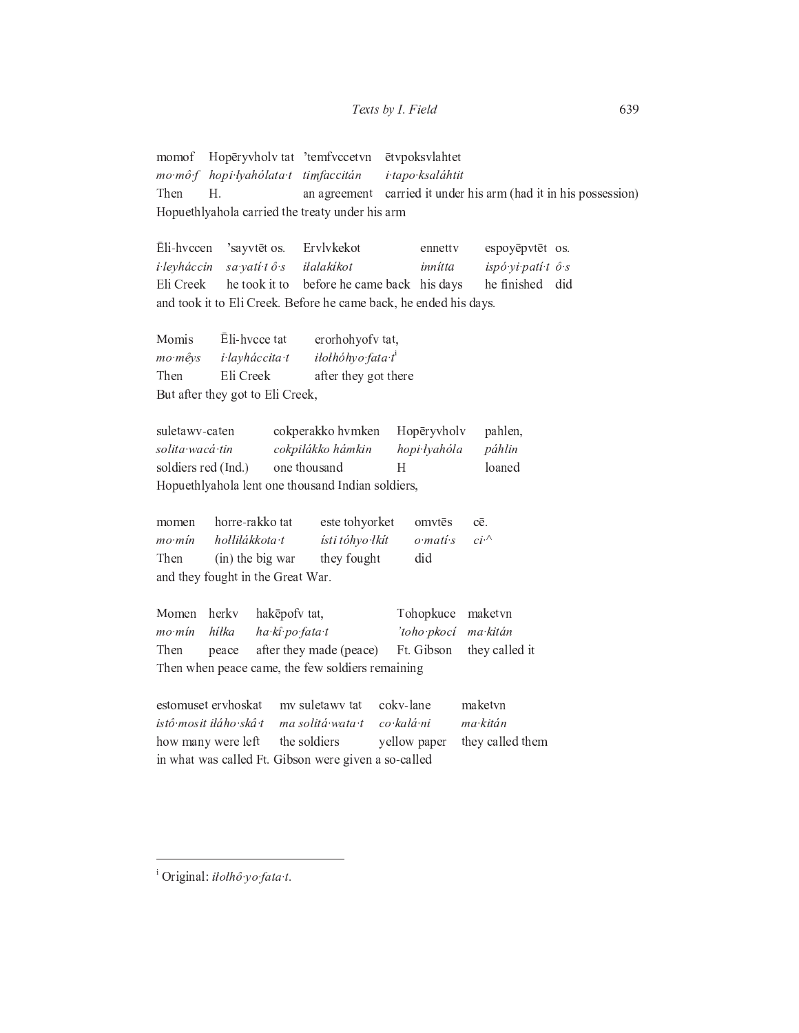## Texts by I. Field

Hopēryvholv tat 'temfvccetvn ētvpoksvlahtet momof  $mo$   $m\hat{o}$   $f$ hopi lyahólata t timfaccitán i tapo ksaláhtit Then H. an agreement carried it under his arm (had it in his possession) Hopuethlyahola carried the treaty under his arm

Eli-hvccen 'sayvtēt os. Ervlykekot ennetty espoyēpvtēt os. i leyháccin sa yati tô s iłalakíkot innítta ispó vi patí t ô s Eli Creek he took it to before he came back his days he finished did and took it to Eli Creek. Before he came back, he ended his days.

Ēli-hvcce tat erorhohyofv tat, Momis mo mêvs i layháccita t iłołhóhyo fata t<sup>i</sup> Then Eli Creek after they got there But after they got to Eli Creek,

suletawy-caten cokperakko hvmken Hopēryvholv pahlen, solita wacá tin cokpiłákko hámkin hopi łyahóla páhlin  $H$ soldiers red (Ind.) one thousand loaned Hopuethlyahola lent one thousand Indian soldiers,

momen horre-rakko tat este tohyorket omvtēs cē. ísti tóhyo łkít mo mín hollilákkota t o matí s  $ci^{\Lambda}$ (in) the big war they fought did Then and they fought in the Great War.

Momen herky hakēpofv tat, Tohopkuce maketvn hilka ha kî po fata t mo mín 'toho pkocí ma kitán Then after they made (peace) Ft. Gibson they called it peace Then when peace came, the few soldiers remaining

cokv-lane maketvn estomuset ervhoskat mv suletawv tat istô mosit iláho skâ t ma solitá wata t co kalá ni ma kitán they called them how many were left the soldiers yellow paper in what was called Ft. Gibson were given a so-called

<sup>i</sup> Original: *ilolhô yo fata t*.